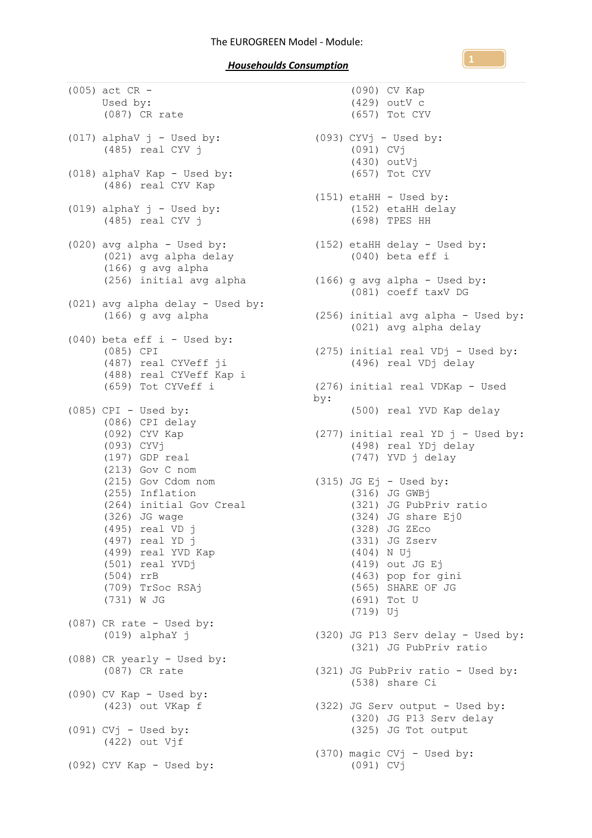*Househoulds Consumption* 

(005) act CR - Used by: (087) CR rate (017) alphaV  $j$  - Used by: (485) real CYV j (018) alphaV Kap - Used by: (486) real CYV Kap  $(019)$  alphaY  $j$  - Used by: (485) real CYV j (020) avg alpha - Used by: (021) avg alpha delay (166) g avg alpha (021) avg alpha delay - Used by: (166) g avg alpha (040) beta eff i - Used by: (085) CPI (487) real CYVeff ji (488) real CYVeff Kap i (659) Tot CYVeff i  $(085)$  CPI - Used by: (086) CPI delay (092) CYV Kap (093) CYVj (197) GDP real (213) Gov C nom (215) Gov Cdom nom (255) Inflation (264) initial Gov Creal (326) JG wage (495) real VD j (497) real YD j (499) real YVD Kap (501) real YVDj (504) rrB (709) TrSoc RSAj (731) W JG (087) CR rate - Used by: (019) alphaY j (088) CR yearly - Used by: (087) CR rate  $(090)$  CV Kap - Used by: (423) out VKap f  $(091)$  CVj - Used by:  $(422)$  out  $V\overline{f}$ (092) CYV Kap - Used by:

```
(256) initial avg alpha
(166) g avg alpha - Used by:
                                      (090) CV Kap
                                      (429) outV c
                                      (657) Tot CYV
                        (093) CYVj - Used by:
                                      (091) CVj
                                      (430) outVj
                                      (657) Tot CYV
                                (151) etaHH - Used by:
                                      (152) etaHH delay
                                      (698) TPES HH
                              (152) etaHH delay - Used by:
                                     (040) beta eff i
                                      (081) coeff taxV DG
                                (256) initial avg alpha - Used by:
                                      (021) avg alpha delay
                              (275) initial real VDj - Used by:
                                      (496) real VDj delay
                                (276) initial real VDKap - Used 
                                by:
                                      (500) real YVD Kap delay
                                (277) initial real YD j - Used by:
                                      (498) real YDj delay
                                      (747) YVD j delay
                               (315) JG Ej - Used by:
                                      (316) JG GWBj
                                      (321) JG PubPriv ratio
                                      (324) JG share Ej0
                                      (328) JG ZEco
                                      (331) JG Zserv
                                      (404) N Uj
                                      (419) out JG Ej
                                      (463) pop for gini
                                      (565) SHARE OF JG
                                      (691) Tot U
                                      (719) Uj
                                (320) JG P13 Serv delay - Used by:
                                      (321) JG PubPriv ratio
                                (321) JG PubPriv ratio - Used by:
                                      (538) share Ci
                                (322) JG Serv output - Used by:
                                      (320) JG P13 Serv delay
                                      (325) JG Tot output
                                (370) magic CVj - Used by:
                                      (091) CVj
```
**1**